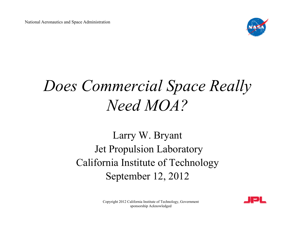National Aeronautics and Space Administration



# *Does Commercial Space Really Need MOA?*

#### Larry W. Bryant Jet Propulsion Laboratory California Institute of Technology September 12, 2012



Copyright 2012 California Institute of Technology, Government sponsorship Acknowledged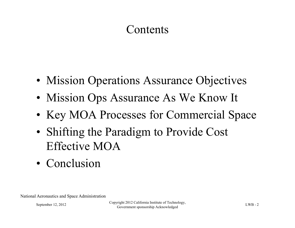#### **Contents**

- Mission Operations Assurance Objectives
- Mission Ops Assurance As We Know It
- Key MOA Processes for Commercial Space
- Shifting the Paradigm to Provide Cost Effective MOA
- Conclusion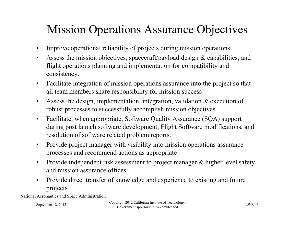### Mission Operations Assurance Objectives

- Improve operational reliability of projects during mission operations
- Assess the mission objectives, spacecraft/payload design & capabilities, and flight operations planning and implementation for compatibility and consistency.
- Facilitate integration of mission operations assurance into the project so that all team members share responsibility for mission success
- Assess the design, implementation, integration, validation & execution of robust processes to successfully accomplish mission objectives
- Facilitate, when appropriate, Software Quality Assurance (SQA) support during post launch software development, Flight Software modifications, and resolution of software related problem reports.
- Provide project manager with visibility into mission operations assurance processes and recommend actions as appropriate
- Provide independent risk assessment to project manager & higher level safety and mission assurance offices.
- Provide direct transfer of knowledge and experience to existing and future projects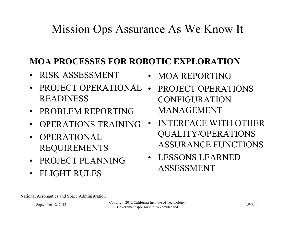#### Mission Ops Assurance As We Know It

#### **MOA PROCESSES FOR ROBOTIC EXPLORATION**

- RISK ASSESSMENT
- PROJECT OPERATIONAL READINESS
- PROBLEM REPORTING
- OPERATIONS TRAINING
- OPERATIONAL REQUIREMENTS
- PROJECT PLANNING
- FLIGHT RULES
- MOA REPORTING
- PROJECT OPERATIONS CONFIGURATION MANAGEMENT
- INTERFACE WITH OTHER QUALITY/OPERATIONS ASSURANCE FUNCTIONS
- LESSONS LEARNED ASSESSMENT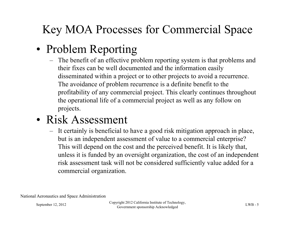## Key MOA Processes for Commercial Space

#### • Problem Reporting

– The benefit of an effective problem reporting system is that problems and their fixes can be well documented and the information easily disseminated within a project or to other projects to avoid a recurrence. The avoidance of problem recurrence is a definite benefit to the profitability of any commercial project. This clearly continues throughout the operational life of a commercial project as well as any follow on projects.

#### • Risk Assessment

– It certainly is beneficial to have a good risk mitigation approach in place, but is an independent assessment of value to a commercial enterprise? This will depend on the cost and the perceived benefit. It is likely that, unless it is funded by an oversight organization, the cost of an independent risk assessment task will not be considered sufficiently value added for a commercial organization.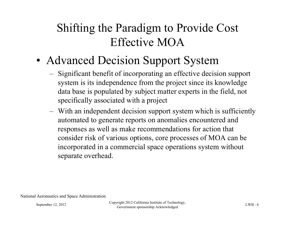#### Shifting the Paradigm to Provide Cost Effective MOA

- Advanced Decision Support System
	- Significant benefit of incorporating an effective decision support system is its independence from the project since its knowledge data base is populated by subject matter experts in the field, not specifically associated with a project
	- With an independent decision support system which is sufficiently automated to generate reports on anomalies encountered and responses as well as make recommendations for action that consider risk of various options, core processes of MOA can be incorporated in a commercial space operations system without separate overhead.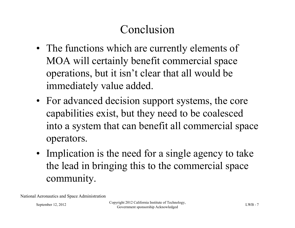### Conclusion

- The functions which are currently elements of MOA will certainly benefit commercial space operations, but it isn't clear that all would be immediately value added.
- For advanced decision support systems, the core capabilities exist, but they need to be coalesced into a system that can benefit all commercial space operators.
- Implication is the need for a single agency to take the lead in bringing this to the commercial space community.